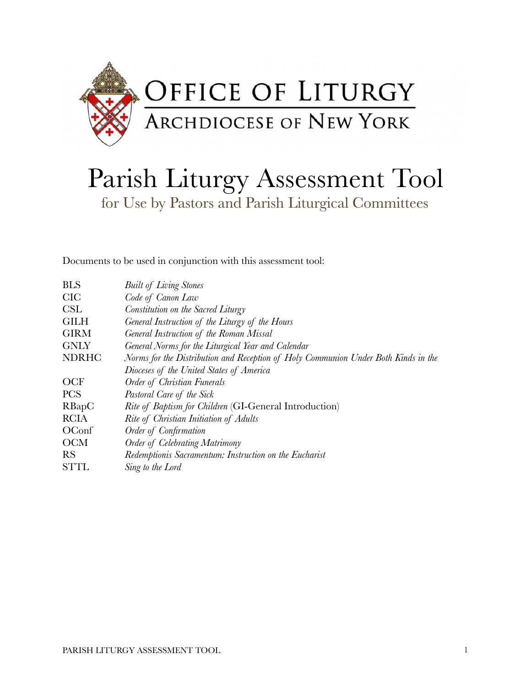

# Parish Liturgy Assessment Tool for Use by Pastors and Parish Liturgical Committees

Documents to be used in conjunction with this assessment tool:

| <b>BLS</b>   | <b>Built of Living Stones</b>                                                      |
|--------------|------------------------------------------------------------------------------------|
| <b>CIC</b>   | Code of Canon Law                                                                  |
| CSL          | Constitution on the Sacred Liturgy                                                 |
| <b>GILH</b>  | General Instruction of the Liturgy of the Hours                                    |
| <b>GIRM</b>  | General Instruction of the Roman Missal                                            |
| <b>GNLY</b>  | General Norms for the Liturgical Year and Calendar                                 |
| <b>NDRHC</b> | Norms for the Distribution and Reception of Holy Communion Under Both Kinds in the |
|              | Dioceses of the United States of America                                           |
| <b>OCF</b>   | Order of Christian Funerals                                                        |
| <b>PCS</b>   | Pastoral Care of the Sick                                                          |
| RBapC        | <i>Rite of Baptism for Children</i> (GI-General Introduction)                      |
| <b>RCIA</b>  | Rite of Christian Initiation of Adults                                             |
| OConf        | Order of Confirmation                                                              |
| <b>OCM</b>   | Order of Celebrating Matrimony                                                     |
| <b>RS</b>    | Redemptionis Sacramentum: Instruction on the Eucharist                             |
| <b>STTL</b>  | Sing to the Lord                                                                   |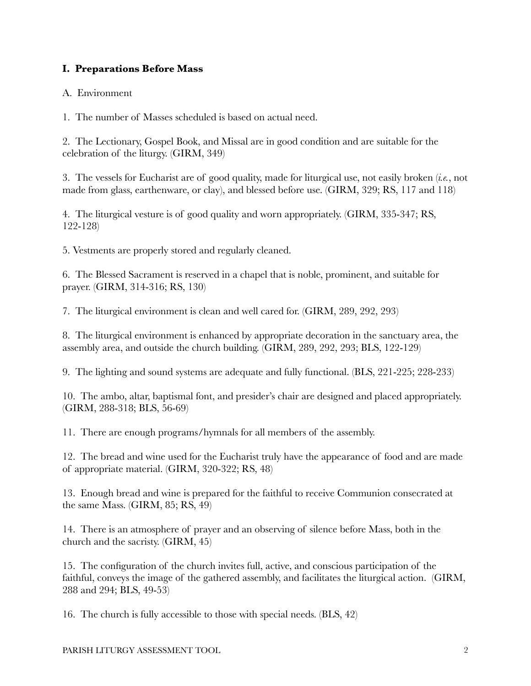# **I. Preparations Before Mass**

## A. Environment

1. The number of Masses scheduled is based on actual need.

2. The Lectionary, Gospel Book, and Missal are in good condition and are suitable for the celebration of the liturgy. (GIRM, 349)

3. The vessels for Eucharist are of good quality, made for liturgical use, not easily broken (*i.e.*, not made from glass, earthenware, or clay), and blessed before use. (GIRM, 329; RS, 117 and 118)

4. The liturgical vesture is of good quality and worn appropriately. (GIRM, 335-347; RS, 122-128)

5. Vestments are properly stored and regularly cleaned.

6. The Blessed Sacrament is reserved in a chapel that is noble, prominent, and suitable for prayer. (GIRM, 314-316; RS, 130)

7. The liturgical environment is clean and well cared for. (GIRM, 289, 292, 293)

8. The liturgical environment is enhanced by appropriate decoration in the sanctuary area, the assembly area, and outside the church building. (GIRM, 289, 292, 293; BLS, 122-129)

9. The lighting and sound systems are adequate and fully functional. (BLS, 221-225; 228-233)

10. The ambo, altar, baptismal font, and presider's chair are designed and placed appropriately. (GIRM, 288-318; BLS, 56-69)

11. There are enough programs/hymnals for all members of the assembly.

12. The bread and wine used for the Eucharist truly have the appearance of food and are made of appropriate material. (GIRM, 320-322; RS, 48)

13. Enough bread and wine is prepared for the faithful to receive Communion consecrated at the same Mass. (GIRM, 85; RS, 49)

14. There is an atmosphere of prayer and an observing of silence before Mass, both in the church and the sacristy. (GIRM, 45)

15. The configuration of the church invites full, active, and conscious participation of the faithful, conveys the image of the gathered assembly, and facilitates the liturgical action. (GIRM, 288 and 294; BLS, 49-53)

16. The church is fully accessible to those with special needs. (BLS, 42)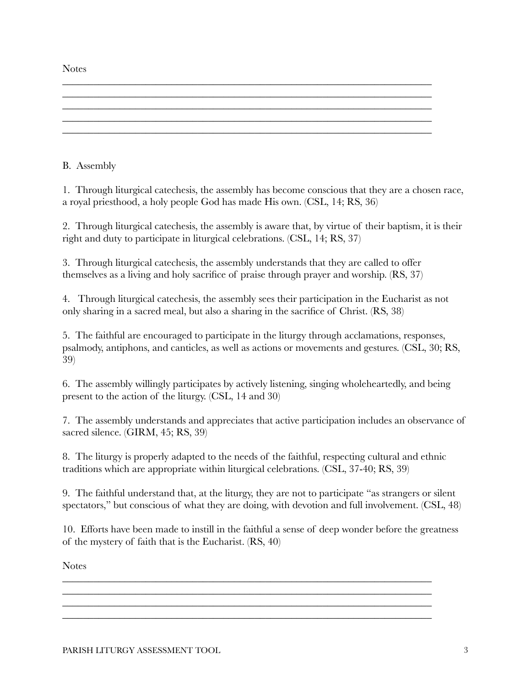**Notes** 

B. Assembly

1. Through liturgical catechesis, the assembly has become conscious that they are a chosen race, a royal priesthood, a holy people God has made His own. (CSL, 14; RS, 36)

\_\_\_\_\_\_\_\_\_\_\_\_\_\_\_\_\_\_\_\_\_\_\_\_\_\_\_\_\_\_\_\_\_\_\_\_\_\_\_\_\_\_\_\_\_\_\_\_\_\_\_\_\_\_\_\_\_\_\_\_\_\_\_\_\_\_\_\_\_\_\_

\_\_\_\_\_\_\_\_\_\_\_\_\_\_\_\_\_\_\_\_\_\_\_\_\_\_\_\_\_\_\_\_\_\_\_\_\_\_\_\_\_\_\_\_\_\_\_\_\_\_\_\_\_\_\_\_\_\_\_\_\_\_\_\_\_\_\_\_\_\_\_

 $\mathcal{L}_\text{max} = \mathcal{L}_\text{max} = \mathcal{L}_\text{max} = \mathcal{L}_\text{max} = \mathcal{L}_\text{max} = \mathcal{L}_\text{max} = \mathcal{L}_\text{max} = \mathcal{L}_\text{max} = \mathcal{L}_\text{max} = \mathcal{L}_\text{max} = \mathcal{L}_\text{max} = \mathcal{L}_\text{max} = \mathcal{L}_\text{max} = \mathcal{L}_\text{max} = \mathcal{L}_\text{max} = \mathcal{L}_\text{max} = \mathcal{L}_\text{max} = \mathcal{L}_\text{max} = \mathcal{$ 

2. Through liturgical catechesis, the assembly is aware that, by virtue of their baptism, it is their right and duty to participate in liturgical celebrations. (CSL, 14; RS, 37)

3. Through liturgical catechesis, the assembly understands that they are called to offer themselves as a living and holy sacrifice of praise through prayer and worship. (RS, 37)

4. Through liturgical catechesis, the assembly sees their participation in the Eucharist as not only sharing in a sacred meal, but also a sharing in the sacrifice of Christ. (RS, 38)

5. The faithful are encouraged to participate in the liturgy through acclamations, responses, psalmody, antiphons, and canticles, as well as actions or movements and gestures. (CSL, 30; RS, 39)

6. The assembly willingly participates by actively listening, singing wholeheartedly, and being present to the action of the liturgy. (CSL, 14 and 30)

7. The assembly understands and appreciates that active participation includes an observance of sacred silence. (GIRM, 45; RS, 39)

8. The liturgy is properly adapted to the needs of the faithful, respecting cultural and ethnic traditions which are appropriate within liturgical celebrations. (CSL, 37-40; RS, 39)

9. The faithful understand that, at the liturgy, they are not to participate "as strangers or silent spectators," but conscious of what they are doing, with devotion and full involvement. (CSL, 48)

10. Efforts have been made to instill in the faithful a sense of deep wonder before the greatness of the mystery of faith that is the Eucharist. (RS, 40)

\_\_\_\_\_\_\_\_\_\_\_\_\_\_\_\_\_\_\_\_\_\_\_\_\_\_\_\_\_\_\_\_\_\_\_\_\_\_\_\_\_\_\_\_\_\_\_\_\_\_\_\_\_\_\_\_\_\_\_\_\_\_\_\_\_\_\_\_\_\_\_ \_\_\_\_\_\_\_\_\_\_\_\_\_\_\_\_\_\_\_\_\_\_\_\_\_\_\_\_\_\_\_\_\_\_\_\_\_\_\_\_\_\_\_\_\_\_\_\_\_\_\_\_\_\_\_\_\_\_\_\_\_\_\_\_\_\_\_\_\_\_\_ \_\_\_\_\_\_\_\_\_\_\_\_\_\_\_\_\_\_\_\_\_\_\_\_\_\_\_\_\_\_\_\_\_\_\_\_\_\_\_\_\_\_\_\_\_\_\_\_\_\_\_\_\_\_\_\_\_\_\_\_\_\_\_\_\_\_\_\_\_\_\_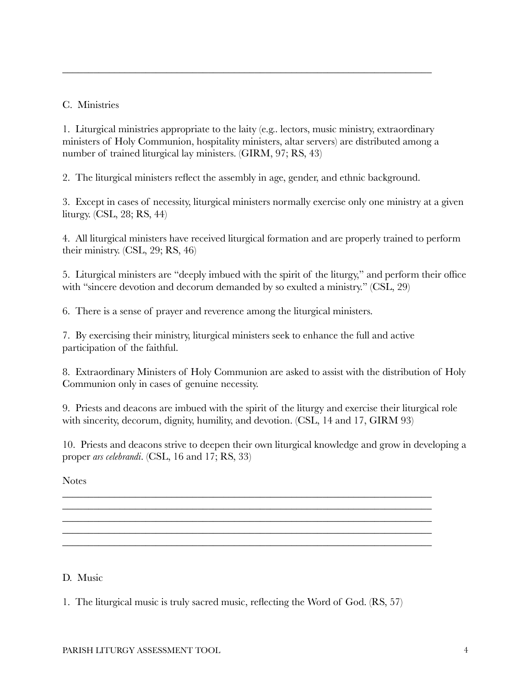C. Ministries

1. Liturgical ministries appropriate to the laity (e.g.. lectors, music ministry, extraordinary ministers of Holy Communion, hospitality ministers, altar servers) are distributed among a number of trained liturgical lay ministers. (GIRM, 97; RS, 43)

\_\_\_\_\_\_\_\_\_\_\_\_\_\_\_\_\_\_\_\_\_\_\_\_\_\_\_\_\_\_\_\_\_\_\_\_\_\_\_\_\_\_\_\_\_\_\_\_\_\_\_\_\_\_\_\_\_\_\_\_\_\_\_\_\_\_\_\_\_\_\_

2. The liturgical ministers reflect the assembly in age, gender, and ethnic background.

3. Except in cases of necessity, liturgical ministers normally exercise only one ministry at a given liturgy. (CSL, 28; RS, 44)

4. All liturgical ministers have received liturgical formation and are properly trained to perform their ministry. (CSL, 29; RS, 46)

5. Liturgical ministers are "deeply imbued with the spirit of the liturgy," and perform their office with "sincere devotion and decorum demanded by so exulted a ministry." (CSL, 29)

6. There is a sense of prayer and reverence among the liturgical ministers.

7. By exercising their ministry, liturgical ministers seek to enhance the full and active participation of the faithful.

8. Extraordinary Ministers of Holy Communion are asked to assist with the distribution of Holy Communion only in cases of genuine necessity.

9. Priests and deacons are imbued with the spirit of the liturgy and exercise their liturgical role with sincerity, decorum, dignity, humility, and devotion. (CSL, 14 and 17, GIRM 93)

10. Priests and deacons strive to deepen their own liturgical knowledge and grow in developing a proper *ars celebrandi*. (CSL, 16 and 17; RS, 33)

\_\_\_\_\_\_\_\_\_\_\_\_\_\_\_\_\_\_\_\_\_\_\_\_\_\_\_\_\_\_\_\_\_\_\_\_\_\_\_\_\_\_\_\_\_\_\_\_\_\_\_\_\_\_\_\_\_\_\_\_\_\_\_\_\_\_\_\_\_\_\_ \_\_\_\_\_\_\_\_\_\_\_\_\_\_\_\_\_\_\_\_\_\_\_\_\_\_\_\_\_\_\_\_\_\_\_\_\_\_\_\_\_\_\_\_\_\_\_\_\_\_\_\_\_\_\_\_\_\_\_\_\_\_\_\_\_\_\_\_\_\_\_ \_\_\_\_\_\_\_\_\_\_\_\_\_\_\_\_\_\_\_\_\_\_\_\_\_\_\_\_\_\_\_\_\_\_\_\_\_\_\_\_\_\_\_\_\_\_\_\_\_\_\_\_\_\_\_\_\_\_\_\_\_\_\_\_\_\_\_\_\_\_\_ \_\_\_\_\_\_\_\_\_\_\_\_\_\_\_\_\_\_\_\_\_\_\_\_\_\_\_\_\_\_\_\_\_\_\_\_\_\_\_\_\_\_\_\_\_\_\_\_\_\_\_\_\_\_\_\_\_\_\_\_\_\_\_\_\_\_\_\_\_\_\_ \_\_\_\_\_\_\_\_\_\_\_\_\_\_\_\_\_\_\_\_\_\_\_\_\_\_\_\_\_\_\_\_\_\_\_\_\_\_\_\_\_\_\_\_\_\_\_\_\_\_\_\_\_\_\_\_\_\_\_\_\_\_\_\_\_\_\_\_\_\_\_

**Notes** 

D. Music

1. The liturgical music is truly sacred music, reflecting the Word of God. (RS, 57)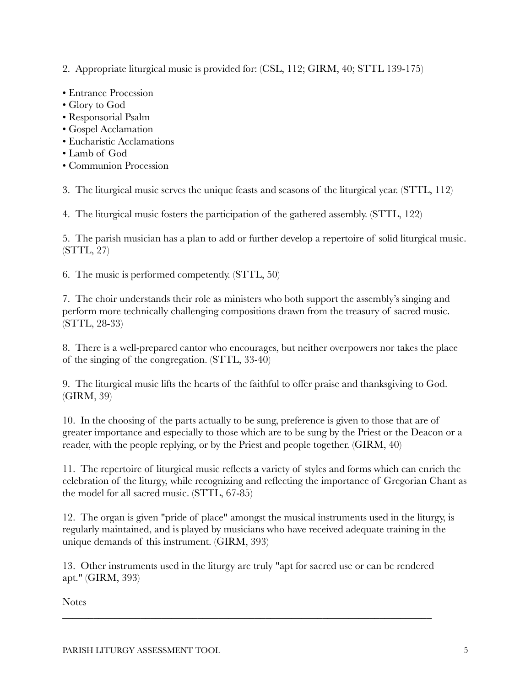2. Appropriate liturgical music is provided for: (CSL, 112; GIRM, 40; STTL 139-175)

- Entrance Procession
- Glory to God
- Responsorial Psalm
- Gospel Acclamation
- Eucharistic Acclamations
- Lamb of God
- Communion Procession

3. The liturgical music serves the unique feasts and seasons of the liturgical year. (STTL, 112)

4. The liturgical music fosters the participation of the gathered assembly. (STTL, 122)

5. The parish musician has a plan to add or further develop a repertoire of solid liturgical music. (STTL, 27)

6. The music is performed competently. (STTL, 50)

7. The choir understands their role as ministers who both support the assembly's singing and perform more technically challenging compositions drawn from the treasury of sacred music. (STTL, 28-33)

8. There is a well-prepared cantor who encourages, but neither overpowers nor takes the place of the singing of the congregation. (STTL, 33-40)

9. The liturgical music lifts the hearts of the faithful to offer praise and thanksgiving to God. (GIRM, 39)

10. In the choosing of the parts actually to be sung, preference is given to those that are of greater importance and especially to those which are to be sung by the Priest or the Deacon or a reader, with the people replying, or by the Priest and people together. (GIRM, 40)

11. The repertoire of liturgical music reflects a variety of styles and forms which can enrich the celebration of the liturgy, while recognizing and reflecting the importance of Gregorian Chant as the model for all sacred music. (STTL, 67-85)

12. The organ is given "pride of place" amongst the musical instruments used in the liturgy, is regularly maintained, and is played by musicians who have received adequate training in the unique demands of this instrument. (GIRM, 393)

13. Other instruments used in the liturgy are truly "apt for sacred use or can be rendered apt." (GIRM, 393)

\_\_\_\_\_\_\_\_\_\_\_\_\_\_\_\_\_\_\_\_\_\_\_\_\_\_\_\_\_\_\_\_\_\_\_\_\_\_\_\_\_\_\_\_\_\_\_\_\_\_\_\_\_\_\_\_\_\_\_\_\_\_\_\_\_\_\_\_\_\_\_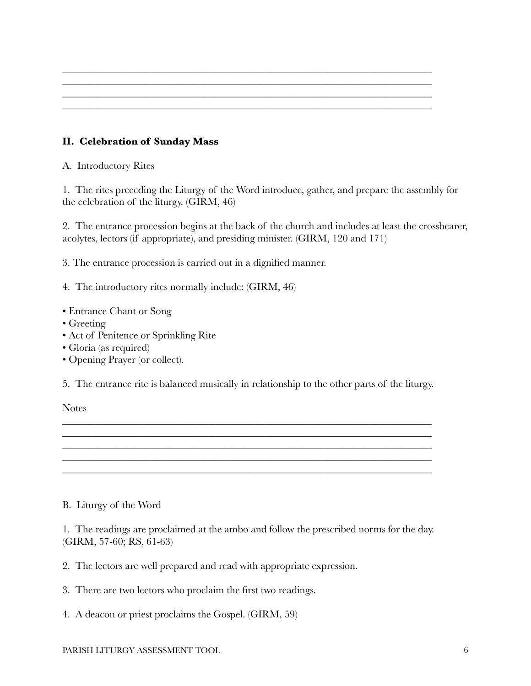# **II. Celebration of Sunday Mass**

A. Introductory Rites

1. The rites preceding the Liturgy of the Word introduce, gather, and prepare the assembly for the celebration of the liturgy. (GIRM, 46)

\_\_\_\_\_\_\_\_\_\_\_\_\_\_\_\_\_\_\_\_\_\_\_\_\_\_\_\_\_\_\_\_\_\_\_\_\_\_\_\_\_\_\_\_\_\_\_\_\_\_\_\_\_\_\_\_\_\_\_\_\_\_\_\_\_\_\_\_\_\_\_ \_\_\_\_\_\_\_\_\_\_\_\_\_\_\_\_\_\_\_\_\_\_\_\_\_\_\_\_\_\_\_\_\_\_\_\_\_\_\_\_\_\_\_\_\_\_\_\_\_\_\_\_\_\_\_\_\_\_\_\_\_\_\_\_\_\_\_\_\_\_\_ \_\_\_\_\_\_\_\_\_\_\_\_\_\_\_\_\_\_\_\_\_\_\_\_\_\_\_\_\_\_\_\_\_\_\_\_\_\_\_\_\_\_\_\_\_\_\_\_\_\_\_\_\_\_\_\_\_\_\_\_\_\_\_\_\_\_\_\_\_\_\_ \_\_\_\_\_\_\_\_\_\_\_\_\_\_\_\_\_\_\_\_\_\_\_\_\_\_\_\_\_\_\_\_\_\_\_\_\_\_\_\_\_\_\_\_\_\_\_\_\_\_\_\_\_\_\_\_\_\_\_\_\_\_\_\_\_\_\_\_\_\_\_

2. The entrance procession begins at the back of the church and includes at least the crossbearer, acolytes, lectors (if appropriate), and presiding minister. (GIRM, 120 and 171)

3. The entrance procession is carried out in a dignified manner.

- 4. The introductory rites normally include: (GIRM, 46)
- Entrance Chant or Song
- Greeting
- Act of Penitence or Sprinkling Rite
- Gloria (as required)
- Opening Prayer (or collect).

5. The entrance rite is balanced musically in relationship to the other parts of the liturgy.

\_\_\_\_\_\_\_\_\_\_\_\_\_\_\_\_\_\_\_\_\_\_\_\_\_\_\_\_\_\_\_\_\_\_\_\_\_\_\_\_\_\_\_\_\_\_\_\_\_\_\_\_\_\_\_\_\_\_\_\_\_\_\_\_\_\_\_\_\_\_\_ \_\_\_\_\_\_\_\_\_\_\_\_\_\_\_\_\_\_\_\_\_\_\_\_\_\_\_\_\_\_\_\_\_\_\_\_\_\_\_\_\_\_\_\_\_\_\_\_\_\_\_\_\_\_\_\_\_\_\_\_\_\_\_\_\_\_\_\_\_\_\_ \_\_\_\_\_\_\_\_\_\_\_\_\_\_\_\_\_\_\_\_\_\_\_\_\_\_\_\_\_\_\_\_\_\_\_\_\_\_\_\_\_\_\_\_\_\_\_\_\_\_\_\_\_\_\_\_\_\_\_\_\_\_\_\_\_\_\_\_\_\_\_

\_\_\_\_\_\_\_\_\_\_\_\_\_\_\_\_\_\_\_\_\_\_\_\_\_\_\_\_\_\_\_\_\_\_\_\_\_\_\_\_\_\_\_\_\_\_\_\_\_\_\_\_\_\_\_\_\_\_\_\_\_\_\_\_\_\_\_\_\_\_\_

**Notes** 

## B. Liturgy of the Word

1. The readings are proclaimed at the ambo and follow the prescribed norms for the day. (GIRM, 57-60; RS, 61-63)

- 2. The lectors are well prepared and read with appropriate expression.
- 3. There are two lectors who proclaim the first two readings.
- 4. A deacon or priest proclaims the Gospel. (GIRM, 59)

#### PARISH LITURGY ASSESSMENT TOOL 6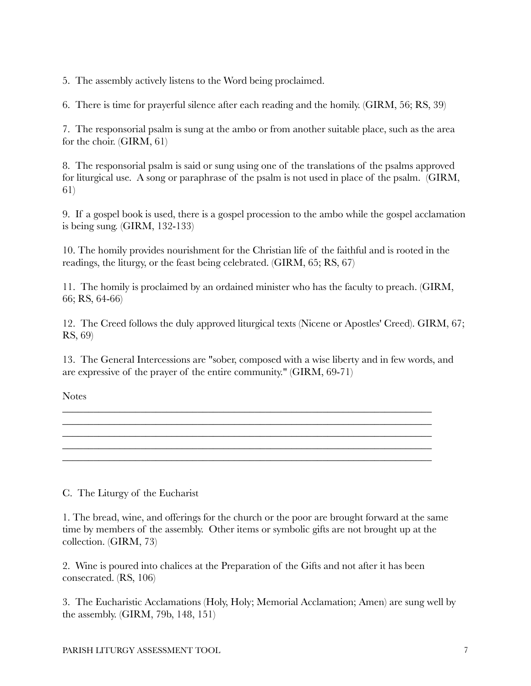5. The assembly actively listens to the Word being proclaimed.

6. There is time for prayerful silence after each reading and the homily. (GIRM, 56; RS, 39)

7. The responsorial psalm is sung at the ambo or from another suitable place, such as the area for the choir. (GIRM, 61)

8. The responsorial psalm is said or sung using one of the translations of the psalms approved for liturgical use. A song or paraphrase of the psalm is not used in place of the psalm. (GIRM, 61)

9. If a gospel book is used, there is a gospel procession to the ambo while the gospel acclamation is being sung. (GIRM, 132-133)

10. The homily provides nourishment for the Christian life of the faithful and is rooted in the readings, the liturgy, or the feast being celebrated. (GIRM, 65; RS, 67)

11. The homily is proclaimed by an ordained minister who has the faculty to preach. (GIRM, 66; RS, 64-66)

12. The Creed follows the duly approved liturgical texts (Nicene or Apostles' Creed). GIRM, 67; RS, 69)

13. The General Intercessions are "sober, composed with a wise liberty and in few words, and are expressive of the prayer of the entire community." (GIRM, 69-71)

\_\_\_\_\_\_\_\_\_\_\_\_\_\_\_\_\_\_\_\_\_\_\_\_\_\_\_\_\_\_\_\_\_\_\_\_\_\_\_\_\_\_\_\_\_\_\_\_\_\_\_\_\_\_\_\_\_\_\_\_\_\_\_\_\_\_\_\_\_\_\_

\_\_\_\_\_\_\_\_\_\_\_\_\_\_\_\_\_\_\_\_\_\_\_\_\_\_\_\_\_\_\_\_\_\_\_\_\_\_\_\_\_\_\_\_\_\_\_\_\_\_\_\_\_\_\_\_\_\_\_\_\_\_\_\_\_\_\_\_\_\_\_ \_\_\_\_\_\_\_\_\_\_\_\_\_\_\_\_\_\_\_\_\_\_\_\_\_\_\_\_\_\_\_\_\_\_\_\_\_\_\_\_\_\_\_\_\_\_\_\_\_\_\_\_\_\_\_\_\_\_\_\_\_\_\_\_\_\_\_\_\_\_\_

\_\_\_\_\_\_\_\_\_\_\_\_\_\_\_\_\_\_\_\_\_\_\_\_\_\_\_\_\_\_\_\_\_\_\_\_\_\_\_\_\_\_\_\_\_\_\_\_\_\_\_\_\_\_\_\_\_\_\_\_\_\_\_\_\_\_\_\_\_\_\_

Notes

C. The Liturgy of the Eucharist

1. The bread, wine, and offerings for the church or the poor are brought forward at the same time by members of the assembly. Other items or symbolic gifts are not brought up at the collection. (GIRM, 73)

2. Wine is poured into chalices at the Preparation of the Gifts and not after it has been consecrated. (RS, 106)

3. The Eucharistic Acclamations (Holy, Holy; Memorial Acclamation; Amen) are sung well by the assembly. (GIRM, 79b, 148, 151)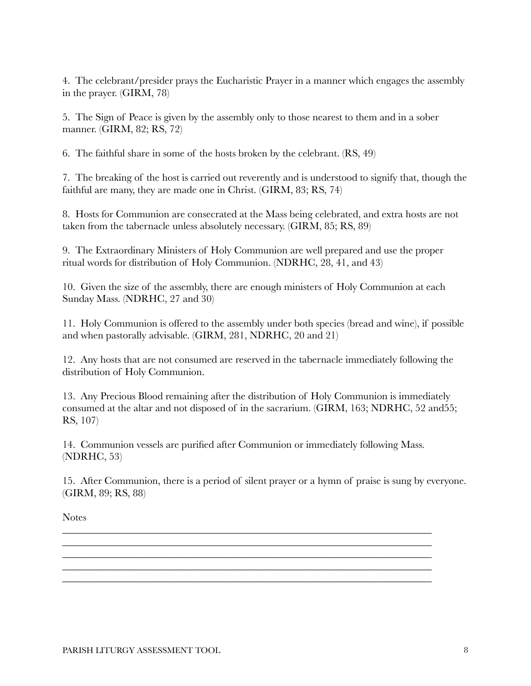4. The celebrant/presider prays the Eucharistic Prayer in a manner which engages the assembly in the prayer. (GIRM, 78)

5. The Sign of Peace is given by the assembly only to those nearest to them and in a sober manner. (GIRM, 82; RS, 72)

6. The faithful share in some of the hosts broken by the celebrant. (RS, 49)

7. The breaking of the host is carried out reverently and is understood to signify that, though the faithful are many, they are made one in Christ. (GIRM, 83; RS, 74)

8. Hosts for Communion are consecrated at the Mass being celebrated, and extra hosts are not taken from the tabernacle unless absolutely necessary. (GIRM, 85; RS, 89)

9. The Extraordinary Ministers of Holy Communion are well prepared and use the proper ritual words for distribution of Holy Communion. (NDRHC, 28, 41, and 43)

10. Given the size of the assembly, there are enough ministers of Holy Communion at each Sunday Mass. (NDRHC, 27 and 30)

11. Holy Communion is offered to the assembly under both species (bread and wine), if possible and when pastorally advisable. (GIRM, 281, NDRHC, 20 and 21)

12. Any hosts that are not consumed are reserved in the tabernacle immediately following the distribution of Holy Communion.

13. Any Precious Blood remaining after the distribution of Holy Communion is immediately consumed at the altar and not disposed of in the sacrarium. (GIRM, 163; NDRHC, 52 and55; RS, 107)

14. Communion vessels are purified after Communion or immediately following Mass. (NDRHC, 53)

\_\_\_\_\_\_\_\_\_\_\_\_\_\_\_\_\_\_\_\_\_\_\_\_\_\_\_\_\_\_\_\_\_\_\_\_\_\_\_\_\_\_\_\_\_\_\_\_\_\_\_\_\_\_\_\_\_\_\_\_\_\_\_\_\_\_\_\_\_\_\_ \_\_\_\_\_\_\_\_\_\_\_\_\_\_\_\_\_\_\_\_\_\_\_\_\_\_\_\_\_\_\_\_\_\_\_\_\_\_\_\_\_\_\_\_\_\_\_\_\_\_\_\_\_\_\_\_\_\_\_\_\_\_\_\_\_\_\_\_\_\_\_ \_\_\_\_\_\_\_\_\_\_\_\_\_\_\_\_\_\_\_\_\_\_\_\_\_\_\_\_\_\_\_\_\_\_\_\_\_\_\_\_\_\_\_\_\_\_\_\_\_\_\_\_\_\_\_\_\_\_\_\_\_\_\_\_\_\_\_\_\_\_\_ \_\_\_\_\_\_\_\_\_\_\_\_\_\_\_\_\_\_\_\_\_\_\_\_\_\_\_\_\_\_\_\_\_\_\_\_\_\_\_\_\_\_\_\_\_\_\_\_\_\_\_\_\_\_\_\_\_\_\_\_\_\_\_\_\_\_\_\_\_\_\_ \_\_\_\_\_\_\_\_\_\_\_\_\_\_\_\_\_\_\_\_\_\_\_\_\_\_\_\_\_\_\_\_\_\_\_\_\_\_\_\_\_\_\_\_\_\_\_\_\_\_\_\_\_\_\_\_\_\_\_\_\_\_\_\_\_\_\_\_\_\_\_

15. After Communion, there is a period of silent prayer or a hymn of praise is sung by everyone. (GIRM, 89; RS, 88)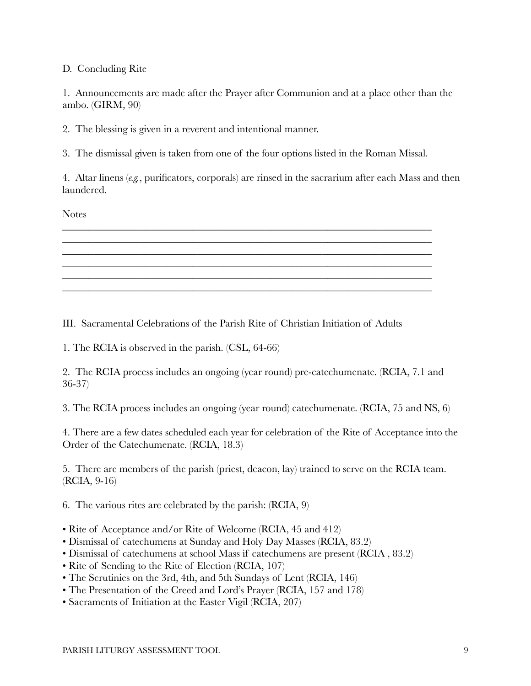## D. Concluding Rite

1. Announcements are made after the Prayer after Communion and at a place other than the ambo. (GIRM, 90)

2. The blessing is given in a reverent and intentional manner.

3. The dismissal given is taken from one of the four options listed in the Roman Missal.

\_\_\_\_\_\_\_\_\_\_\_\_\_\_\_\_\_\_\_\_\_\_\_\_\_\_\_\_\_\_\_\_\_\_\_\_\_\_\_\_\_\_\_\_\_\_\_\_\_\_\_\_\_\_\_\_\_\_\_\_\_\_\_\_\_\_\_\_\_\_\_ \_\_\_\_\_\_\_\_\_\_\_\_\_\_\_\_\_\_\_\_\_\_\_\_\_\_\_\_\_\_\_\_\_\_\_\_\_\_\_\_\_\_\_\_\_\_\_\_\_\_\_\_\_\_\_\_\_\_\_\_\_\_\_\_\_\_\_\_\_\_\_ \_\_\_\_\_\_\_\_\_\_\_\_\_\_\_\_\_\_\_\_\_\_\_\_\_\_\_\_\_\_\_\_\_\_\_\_\_\_\_\_\_\_\_\_\_\_\_\_\_\_\_\_\_\_\_\_\_\_\_\_\_\_\_\_\_\_\_\_\_\_\_

\_\_\_\_\_\_\_\_\_\_\_\_\_\_\_\_\_\_\_\_\_\_\_\_\_\_\_\_\_\_\_\_\_\_\_\_\_\_\_\_\_\_\_\_\_\_\_\_\_\_\_\_\_\_\_\_\_\_\_\_\_\_\_\_\_\_\_\_\_\_\_ \_\_\_\_\_\_\_\_\_\_\_\_\_\_\_\_\_\_\_\_\_\_\_\_\_\_\_\_\_\_\_\_\_\_\_\_\_\_\_\_\_\_\_\_\_\_\_\_\_\_\_\_\_\_\_\_\_\_\_\_\_\_\_\_\_\_\_\_\_\_\_

4. Altar linens (*e.g.*, purificators, corporals) are rinsed in the sacrarium after each Mass and then laundered.

Notes

III. Sacramental Celebrations of the Parish Rite of Christian Initiation of Adults

1. The RCIA is observed in the parish. (CSL, 64-66)

2. The RCIA process includes an ongoing (year round) pre-catechumenate. (RCIA, 7.1 and 36-37)

3. The RCIA process includes an ongoing (year round) catechumenate. (RCIA, 75 and NS, 6)

4. There are a few dates scheduled each year for celebration of the Rite of Acceptance into the Order of the Catechumenate. (RCIA, 18.3)

5. There are members of the parish (priest, deacon, lay) trained to serve on the RCIA team. (RCIA, 9-16)

6. The various rites are celebrated by the parish: (RCIA, 9)

- Rite of Acceptance and/or Rite of Welcome (RCIA, 45 and 412)
- Dismissal of catechumens at Sunday and Holy Day Masses (RCIA, 83.2)
- Dismissal of catechumens at school Mass if catechumens are present (RCIA , 83.2)
- Rite of Sending to the Rite of Election (RCIA, 107)
- The Scrutinies on the 3rd, 4th, and 5th Sundays of Lent (RCIA, 146)
- The Presentation of the Creed and Lord's Prayer (RCIA, 157 and 178)
- Sacraments of Initiation at the Easter Vigil (RCIA, 207)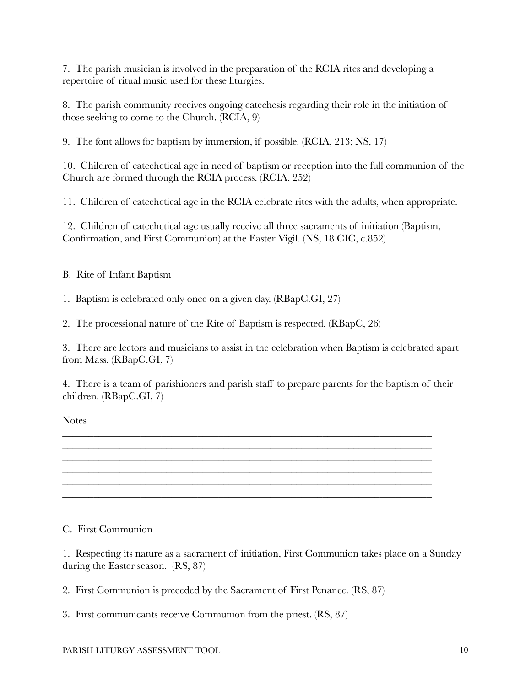7. The parish musician is involved in the preparation of the RCIA rites and developing a repertoire of ritual music used for these liturgies.

8. The parish community receives ongoing catechesis regarding their role in the initiation of those seeking to come to the Church. (RCIA, 9)

9. The font allows for baptism by immersion, if possible. (RCIA, 213; NS, 17)

10. Children of catechetical age in need of baptism or reception into the full communion of the Church are formed through the RCIA process. (RCIA, 252)

11. Children of catechetical age in the RCIA celebrate rites with the adults, when appropriate.

12. Children of catechetical age usually receive all three sacraments of initiation (Baptism, Confirmation, and First Communion) at the Easter Vigil. (NS, 18 CIC, c.852)

B. Rite of Infant Baptism

1. Baptism is celebrated only once on a given day. (RBapC.GI, 27)

2. The processional nature of the Rite of Baptism is respected. (RBapC, 26)

3. There are lectors and musicians to assist in the celebration when Baptism is celebrated apart from Mass. (RBapC.GI, 7)

4. There is a team of parishioners and parish staff to prepare parents for the baptism of their children. (RBapC.GI, 7)

\_\_\_\_\_\_\_\_\_\_\_\_\_\_\_\_\_\_\_\_\_\_\_\_\_\_\_\_\_\_\_\_\_\_\_\_\_\_\_\_\_\_\_\_\_\_\_\_\_\_\_\_\_\_\_\_\_\_\_\_\_\_\_\_\_\_\_\_\_\_\_ \_\_\_\_\_\_\_\_\_\_\_\_\_\_\_\_\_\_\_\_\_\_\_\_\_\_\_\_\_\_\_\_\_\_\_\_\_\_\_\_\_\_\_\_\_\_\_\_\_\_\_\_\_\_\_\_\_\_\_\_\_\_\_\_\_\_\_\_\_\_\_ \_\_\_\_\_\_\_\_\_\_\_\_\_\_\_\_\_\_\_\_\_\_\_\_\_\_\_\_\_\_\_\_\_\_\_\_\_\_\_\_\_\_\_\_\_\_\_\_\_\_\_\_\_\_\_\_\_\_\_\_\_\_\_\_\_\_\_\_\_\_\_ \_\_\_\_\_\_\_\_\_\_\_\_\_\_\_\_\_\_\_\_\_\_\_\_\_\_\_\_\_\_\_\_\_\_\_\_\_\_\_\_\_\_\_\_\_\_\_\_\_\_\_\_\_\_\_\_\_\_\_\_\_\_\_\_\_\_\_\_\_\_\_ \_\_\_\_\_\_\_\_\_\_\_\_\_\_\_\_\_\_\_\_\_\_\_\_\_\_\_\_\_\_\_\_\_\_\_\_\_\_\_\_\_\_\_\_\_\_\_\_\_\_\_\_\_\_\_\_\_\_\_\_\_\_\_\_\_\_\_\_\_\_\_ \_\_\_\_\_\_\_\_\_\_\_\_\_\_\_\_\_\_\_\_\_\_\_\_\_\_\_\_\_\_\_\_\_\_\_\_\_\_\_\_\_\_\_\_\_\_\_\_\_\_\_\_\_\_\_\_\_\_\_\_\_\_\_\_\_\_\_\_\_\_\_

**Notes** 

## C. First Communion

1. Respecting its nature as a sacrament of initiation, First Communion takes place on a Sunday during the Easter season. (RS, 87) 

2. First Communion is preceded by the Sacrament of First Penance. (RS, 87)

3. First communicants receive Communion from the priest. (RS, 87)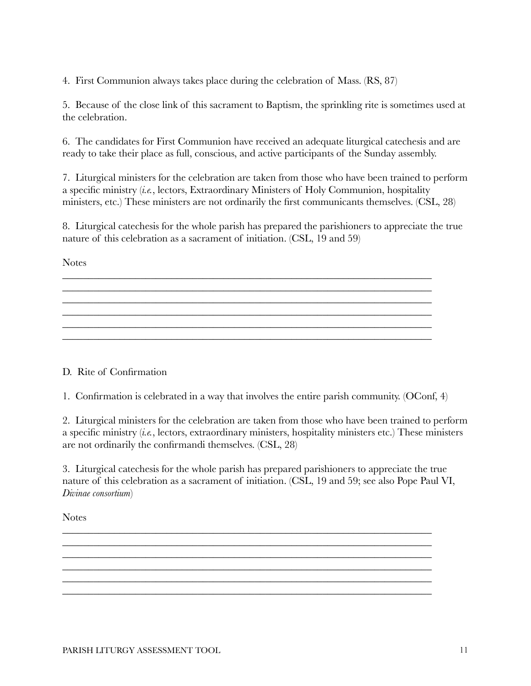4. First Communion always takes place during the celebration of Mass. (RS, 87)

5. Because of the close link of this sacrament to Baptism, the sprinkling rite is sometimes used at the celebration.

6. The candidates for First Communion have received an adequate liturgical catechesis and are ready to take their place as full, conscious, and active participants of the Sunday assembly.

7. Liturgical ministers for the celebration are taken from those who have been trained to perform a specific ministry (*i.e.*, lectors, Extraordinary Ministers of Holy Communion, hospitality ministers, etc.) These ministers are not ordinarily the first communicants themselves. (CSL, 28)

8. Liturgical catechesis for the whole parish has prepared the parishioners to appreciate the true nature of this celebration as a sacrament of initiation. (CSL, 19 and 59)

\_\_\_\_\_\_\_\_\_\_\_\_\_\_\_\_\_\_\_\_\_\_\_\_\_\_\_\_\_\_\_\_\_\_\_\_\_\_\_\_\_\_\_\_\_\_\_\_\_\_\_\_\_\_\_\_\_\_\_\_\_\_\_\_\_\_\_\_\_\_\_

\_\_\_\_\_\_\_\_\_\_\_\_\_\_\_\_\_\_\_\_\_\_\_\_\_\_\_\_\_\_\_\_\_\_\_\_\_\_\_\_\_\_\_\_\_\_\_\_\_\_\_\_\_\_\_\_\_\_\_\_\_\_\_\_\_\_\_\_\_\_\_ \_\_\_\_\_\_\_\_\_\_\_\_\_\_\_\_\_\_\_\_\_\_\_\_\_\_\_\_\_\_\_\_\_\_\_\_\_\_\_\_\_\_\_\_\_\_\_\_\_\_\_\_\_\_\_\_\_\_\_\_\_\_\_\_\_\_\_\_\_\_\_  $\mathcal{L}_\mathcal{L} = \{ \mathcal{L}_\mathcal{L} = \{ \mathcal{L}_\mathcal{L} = \{ \mathcal{L}_\mathcal{L} = \{ \mathcal{L}_\mathcal{L} = \{ \mathcal{L}_\mathcal{L} = \{ \mathcal{L}_\mathcal{L} = \{ \mathcal{L}_\mathcal{L} = \{ \mathcal{L}_\mathcal{L} = \{ \mathcal{L}_\mathcal{L} = \{ \mathcal{L}_\mathcal{L} = \{ \mathcal{L}_\mathcal{L} = \{ \mathcal{L}_\mathcal{L} = \{ \mathcal{L}_\mathcal{L} = \{ \mathcal{L}_\mathcal{$  $\mathcal{L}_\mathcal{L} = \mathcal{L}_\mathcal{L} = \mathcal{L}_\mathcal{L} = \mathcal{L}_\mathcal{L} = \mathcal{L}_\mathcal{L} = \mathcal{L}_\mathcal{L} = \mathcal{L}_\mathcal{L} = \mathcal{L}_\mathcal{L} = \mathcal{L}_\mathcal{L} = \mathcal{L}_\mathcal{L} = \mathcal{L}_\mathcal{L} = \mathcal{L}_\mathcal{L} = \mathcal{L}_\mathcal{L} = \mathcal{L}_\mathcal{L} = \mathcal{L}_\mathcal{L} = \mathcal{L}_\mathcal{L} = \mathcal{L}_\mathcal{L}$ 

**Notes** 

D. Rite of Confirmation

1. Confirmation is celebrated in a way that involves the entire parish community. (OConf, 4)

2. Liturgical ministers for the celebration are taken from those who have been trained to perform a specific ministry (*i.e.*, lectors, extraordinary ministers, hospitality ministers etc.) These ministers are not ordinarily the confirmandi themselves. (CSL, 28)

3. Liturgical catechesis for the whole parish has prepared parishioners to appreciate the true nature of this celebration as a sacrament of initiation. (CSL, 19 and 59; see also Pope Paul VI, *Divinae consortium*)

> $\mathcal{L}_\mathcal{L} = \mathcal{L}_\mathcal{L} = \mathcal{L}_\mathcal{L} = \mathcal{L}_\mathcal{L} = \mathcal{L}_\mathcal{L} = \mathcal{L}_\mathcal{L} = \mathcal{L}_\mathcal{L} = \mathcal{L}_\mathcal{L} = \mathcal{L}_\mathcal{L} = \mathcal{L}_\mathcal{L} = \mathcal{L}_\mathcal{L} = \mathcal{L}_\mathcal{L} = \mathcal{L}_\mathcal{L} = \mathcal{L}_\mathcal{L} = \mathcal{L}_\mathcal{L} = \mathcal{L}_\mathcal{L} = \mathcal{L}_\mathcal{L}$ \_\_\_\_\_\_\_\_\_\_\_\_\_\_\_\_\_\_\_\_\_\_\_\_\_\_\_\_\_\_\_\_\_\_\_\_\_\_\_\_\_\_\_\_\_\_\_\_\_\_\_\_\_\_\_\_\_\_\_\_\_\_\_\_\_\_\_\_\_\_\_

\_\_\_\_\_\_\_\_\_\_\_\_\_\_\_\_\_\_\_\_\_\_\_\_\_\_\_\_\_\_\_\_\_\_\_\_\_\_\_\_\_\_\_\_\_\_\_\_\_\_\_\_\_\_\_\_\_\_\_\_\_\_\_\_\_\_\_\_\_\_\_ \_\_\_\_\_\_\_\_\_\_\_\_\_\_\_\_\_\_\_\_\_\_\_\_\_\_\_\_\_\_\_\_\_\_\_\_\_\_\_\_\_\_\_\_\_\_\_\_\_\_\_\_\_\_\_\_\_\_\_\_\_\_\_\_\_\_\_\_\_\_\_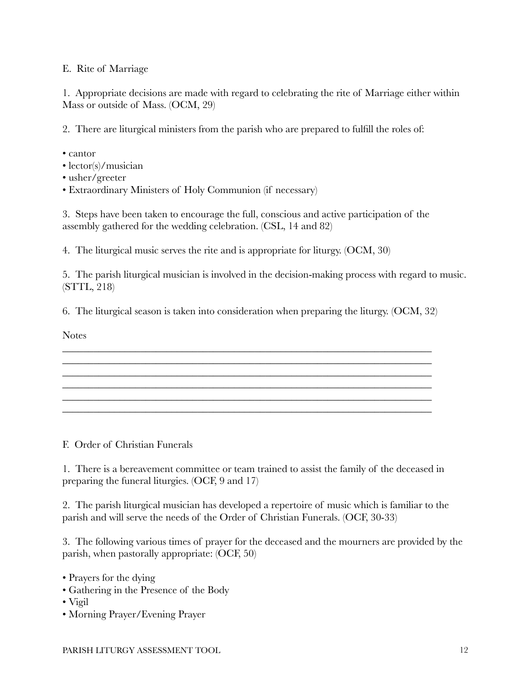## E. Rite of Marriage

1. Appropriate decisions are made with regard to celebrating the rite of Marriage either within Mass or outside of Mass. (OCM, 29)

2. There are liturgical ministers from the parish who are prepared to fulfill the roles of:

- cantor
- lector(s)/musician
- usher/greeter
- Extraordinary Ministers of Holy Communion (if necessary)

3. Steps have been taken to encourage the full, conscious and active participation of the assembly gathered for the wedding celebration. (CSL, 14 and 82)

4. The liturgical music serves the rite and is appropriate for liturgy. (OCM, 30)

5. The parish liturgical musician is involved in the decision-making process with regard to music. (STTL, 218)

\_\_\_\_\_\_\_\_\_\_\_\_\_\_\_\_\_\_\_\_\_\_\_\_\_\_\_\_\_\_\_\_\_\_\_\_\_\_\_\_\_\_\_\_\_\_\_\_\_\_\_\_\_\_\_\_\_\_\_\_\_\_\_\_\_\_\_\_\_\_\_

6. The liturgical season is taken into consideration when preparing the liturgy. (OCM, 32)

\_\_\_\_\_\_\_\_\_\_\_\_\_\_\_\_\_\_\_\_\_\_\_\_\_\_\_\_\_\_\_\_\_\_\_\_\_\_\_\_\_\_\_\_\_\_\_\_\_\_\_\_\_\_\_\_\_\_\_\_\_\_\_\_\_\_\_\_\_\_\_ \_\_\_\_\_\_\_\_\_\_\_\_\_\_\_\_\_\_\_\_\_\_\_\_\_\_\_\_\_\_\_\_\_\_\_\_\_\_\_\_\_\_\_\_\_\_\_\_\_\_\_\_\_\_\_\_\_\_\_\_\_\_\_\_\_\_\_\_\_\_\_ \_\_\_\_\_\_\_\_\_\_\_\_\_\_\_\_\_\_\_\_\_\_\_\_\_\_\_\_\_\_\_\_\_\_\_\_\_\_\_\_\_\_\_\_\_\_\_\_\_\_\_\_\_\_\_\_\_\_\_\_\_\_\_\_\_\_\_\_\_\_\_

\_\_\_\_\_\_\_\_\_\_\_\_\_\_\_\_\_\_\_\_\_\_\_\_\_\_\_\_\_\_\_\_\_\_\_\_\_\_\_\_\_\_\_\_\_\_\_\_\_\_\_\_\_\_\_\_\_\_\_\_\_\_\_\_\_\_\_\_\_\_\_ \_\_\_\_\_\_\_\_\_\_\_\_\_\_\_\_\_\_\_\_\_\_\_\_\_\_\_\_\_\_\_\_\_\_\_\_\_\_\_\_\_\_\_\_\_\_\_\_\_\_\_\_\_\_\_\_\_\_\_\_\_\_\_\_\_\_\_\_\_\_\_

**Notes** 

F. Order of Christian Funerals

1. There is a bereavement committee or team trained to assist the family of the deceased in preparing the funeral liturgies. (OCF, 9 and 17)

2. The parish liturgical musician has developed a repertoire of music which is familiar to the parish and will serve the needs of the Order of Christian Funerals. (OCF, 30-33)

3. The following various times of prayer for the deceased and the mourners are provided by the parish, when pastorally appropriate: (OCF, 50)

- Prayers for the dying
- Gathering in the Presence of the Body
- Vigil
- Morning Prayer/Evening Prayer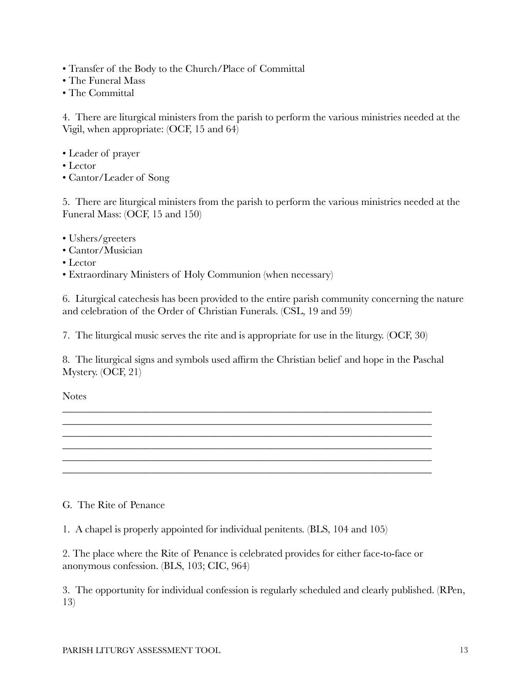- Transfer of the Body to the Church/Place of Committal
- The Funeral Mass
- The Committal

4. There are liturgical ministers from the parish to perform the various ministries needed at the Vigil, when appropriate: (OCF, 15 and 64)

- Leader of prayer
- Lector
- Cantor/Leader of Song

5. There are liturgical ministers from the parish to perform the various ministries needed at the Funeral Mass: (OCF, 15 and 150)

- Ushers/greeters
- Cantor/Musician
- Lector
- Extraordinary Ministers of Holy Communion (when necessary)

6. Liturgical catechesis has been provided to the entire parish community concerning the nature and celebration of the Order of Christian Funerals. (CSL, 19 and 59)

7. The liturgical music serves the rite and is appropriate for use in the liturgy. (OCF, 30)

8. The liturgical signs and symbols used affirm the Christian belief and hope in the Paschal Mystery. (OCF, 21)

\_\_\_\_\_\_\_\_\_\_\_\_\_\_\_\_\_\_\_\_\_\_\_\_\_\_\_\_\_\_\_\_\_\_\_\_\_\_\_\_\_\_\_\_\_\_\_\_\_\_\_\_\_\_\_\_\_\_\_\_\_\_\_\_\_\_\_\_\_\_\_ \_\_\_\_\_\_\_\_\_\_\_\_\_\_\_\_\_\_\_\_\_\_\_\_\_\_\_\_\_\_\_\_\_\_\_\_\_\_\_\_\_\_\_\_\_\_\_\_\_\_\_\_\_\_\_\_\_\_\_\_\_\_\_\_\_\_\_\_\_\_\_ \_\_\_\_\_\_\_\_\_\_\_\_\_\_\_\_\_\_\_\_\_\_\_\_\_\_\_\_\_\_\_\_\_\_\_\_\_\_\_\_\_\_\_\_\_\_\_\_\_\_\_\_\_\_\_\_\_\_\_\_\_\_\_\_\_\_\_\_\_\_\_ \_\_\_\_\_\_\_\_\_\_\_\_\_\_\_\_\_\_\_\_\_\_\_\_\_\_\_\_\_\_\_\_\_\_\_\_\_\_\_\_\_\_\_\_\_\_\_\_\_\_\_\_\_\_\_\_\_\_\_\_\_\_\_\_\_\_\_\_\_\_\_

\_\_\_\_\_\_\_\_\_\_\_\_\_\_\_\_\_\_\_\_\_\_\_\_\_\_\_\_\_\_\_\_\_\_\_\_\_\_\_\_\_\_\_\_\_\_\_\_\_\_\_\_\_\_\_\_\_\_\_\_\_\_\_\_\_\_\_\_\_\_\_

Notes

## G. The Rite of Penance

1. A chapel is properly appointed for individual penitents. (BLS, 104 and 105)

2. The place where the Rite of Penance is celebrated provides for either face-to-face or anonymous confession. (BLS, 103; CIC, 964)

3. The opportunity for individual confession is regularly scheduled and clearly published. (RPen, 13)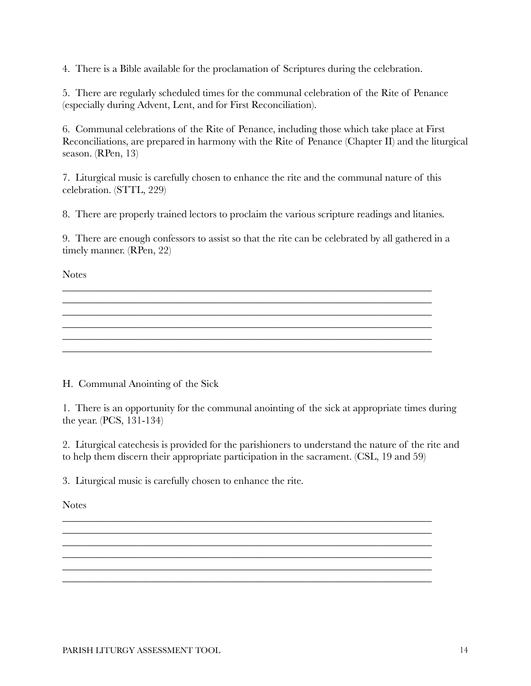4. There is a Bible available for the proclamation of Scriptures during the celebration.

5. There are regularly scheduled times for the communal celebration of the Rite of Penance (especially during Advent, Lent, and for First Reconciliation).

6. Communal celebrations of the Rite of Penance, including those which take place at First Reconciliations, are prepared in harmony with the Rite of Penance (Chapter II) and the liturgical season. (RPen, 13)

7. Liturgical music is carefully chosen to enhance the rite and the communal nature of this celebration. (STTL, 229)

8. There are properly trained lectors to proclaim the various scripture readings and litanies.

9. There are enough confessors to assist so that the rite can be celebrated by all gathered in a timely manner. (RPen, 22)

\_\_\_\_\_\_\_\_\_\_\_\_\_\_\_\_\_\_\_\_\_\_\_\_\_\_\_\_\_\_\_\_\_\_\_\_\_\_\_\_\_\_\_\_\_\_\_\_\_\_\_\_\_\_\_\_\_\_\_\_\_\_\_\_\_\_\_\_\_\_\_ \_\_\_\_\_\_\_\_\_\_\_\_\_\_\_\_\_\_\_\_\_\_\_\_\_\_\_\_\_\_\_\_\_\_\_\_\_\_\_\_\_\_\_\_\_\_\_\_\_\_\_\_\_\_\_\_\_\_\_\_\_\_\_\_\_\_\_\_\_\_\_ \_\_\_\_\_\_\_\_\_\_\_\_\_\_\_\_\_\_\_\_\_\_\_\_\_\_\_\_\_\_\_\_\_\_\_\_\_\_\_\_\_\_\_\_\_\_\_\_\_\_\_\_\_\_\_\_\_\_\_\_\_\_\_\_\_\_\_\_\_\_\_ \_\_\_\_\_\_\_\_\_\_\_\_\_\_\_\_\_\_\_\_\_\_\_\_\_\_\_\_\_\_\_\_\_\_\_\_\_\_\_\_\_\_\_\_\_\_\_\_\_\_\_\_\_\_\_\_\_\_\_\_\_\_\_\_\_\_\_\_\_\_\_

\_\_\_\_\_\_\_\_\_\_\_\_\_\_\_\_\_\_\_\_\_\_\_\_\_\_\_\_\_\_\_\_\_\_\_\_\_\_\_\_\_\_\_\_\_\_\_\_\_\_\_\_\_\_\_\_\_\_\_\_\_\_\_\_\_\_\_\_\_\_\_

**Notes** 

H. Communal Anointing of the Sick

1. There is an opportunity for the communal anointing of the sick at appropriate times during the year. (PCS, 131-134)

2. Liturgical catechesis is provided for the parishioners to understand the nature of the rite and to help them discern their appropriate participation in the sacrament. (CSL, 19 and 59)

\_\_\_\_\_\_\_\_\_\_\_\_\_\_\_\_\_\_\_\_\_\_\_\_\_\_\_\_\_\_\_\_\_\_\_\_\_\_\_\_\_\_\_\_\_\_\_\_\_\_\_\_\_\_\_\_\_\_\_\_\_\_\_\_\_\_\_\_\_\_\_ \_\_\_\_\_\_\_\_\_\_\_\_\_\_\_\_\_\_\_\_\_\_\_\_\_\_\_\_\_\_\_\_\_\_\_\_\_\_\_\_\_\_\_\_\_\_\_\_\_\_\_\_\_\_\_\_\_\_\_\_\_\_\_\_\_\_\_\_\_\_\_ \_\_\_\_\_\_\_\_\_\_\_\_\_\_\_\_\_\_\_\_\_\_\_\_\_\_\_\_\_\_\_\_\_\_\_\_\_\_\_\_\_\_\_\_\_\_\_\_\_\_\_\_\_\_\_\_\_\_\_\_\_\_\_\_\_\_\_\_\_\_\_

\_\_\_\_\_\_\_\_\_\_\_\_\_\_\_\_\_\_\_\_\_\_\_\_\_\_\_\_\_\_\_\_\_\_\_\_\_\_\_\_\_\_\_\_\_\_\_\_\_\_\_\_\_\_\_\_\_\_\_\_\_\_\_\_\_\_\_\_\_\_\_

 $\mathcal{L}_\mathcal{L} = \mathcal{L}_\mathcal{L} = \mathcal{L}_\mathcal{L} = \mathcal{L}_\mathcal{L} = \mathcal{L}_\mathcal{L} = \mathcal{L}_\mathcal{L} = \mathcal{L}_\mathcal{L} = \mathcal{L}_\mathcal{L} = \mathcal{L}_\mathcal{L} = \mathcal{L}_\mathcal{L} = \mathcal{L}_\mathcal{L} = \mathcal{L}_\mathcal{L} = \mathcal{L}_\mathcal{L} = \mathcal{L}_\mathcal{L} = \mathcal{L}_\mathcal{L} = \mathcal{L}_\mathcal{L} = \mathcal{L}_\mathcal{L}$ 

3. Liturgical music is carefully chosen to enhance the rite.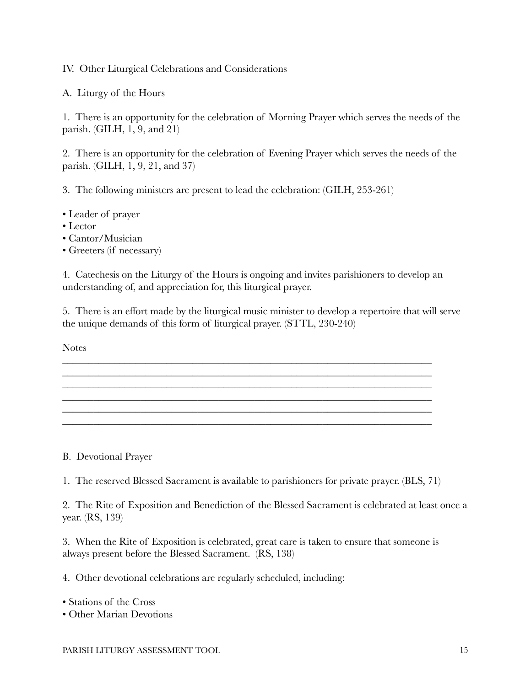IV. Other Liturgical Celebrations and Considerations

A. Liturgy of the Hours

1. There is an opportunity for the celebration of Morning Prayer which serves the needs of the parish. (GILH, 1, 9, and 21)

2. There is an opportunity for the celebration of Evening Prayer which serves the needs of the parish. (GILH, 1, 9, 21, and 37)

3. The following ministers are present to lead the celebration: (GILH, 253-261)

- Leader of prayer
- Lector
- Cantor/Musician
- Greeters (if necessary)

4. Catechesis on the Liturgy of the Hours is ongoing and invites parishioners to develop an understanding of, and appreciation for, this liturgical prayer.

\_\_\_\_\_\_\_\_\_\_\_\_\_\_\_\_\_\_\_\_\_\_\_\_\_\_\_\_\_\_\_\_\_\_\_\_\_\_\_\_\_\_\_\_\_\_\_\_\_\_\_\_\_\_\_\_\_\_\_\_\_\_\_\_\_\_\_\_\_\_\_ \_\_\_\_\_\_\_\_\_\_\_\_\_\_\_\_\_\_\_\_\_\_\_\_\_\_\_\_\_\_\_\_\_\_\_\_\_\_\_\_\_\_\_\_\_\_\_\_\_\_\_\_\_\_\_\_\_\_\_\_\_\_\_\_\_\_\_\_\_\_\_

\_\_\_\_\_\_\_\_\_\_\_\_\_\_\_\_\_\_\_\_\_\_\_\_\_\_\_\_\_\_\_\_\_\_\_\_\_\_\_\_\_\_\_\_\_\_\_\_\_\_\_\_\_\_\_\_\_\_\_\_\_\_\_\_\_\_\_\_\_\_\_ \_\_\_\_\_\_\_\_\_\_\_\_\_\_\_\_\_\_\_\_\_\_\_\_\_\_\_\_\_\_\_\_\_\_\_\_\_\_\_\_\_\_\_\_\_\_\_\_\_\_\_\_\_\_\_\_\_\_\_\_\_\_\_\_\_\_\_\_\_\_\_ \_\_\_\_\_\_\_\_\_\_\_\_\_\_\_\_\_\_\_\_\_\_\_\_\_\_\_\_\_\_\_\_\_\_\_\_\_\_\_\_\_\_\_\_\_\_\_\_\_\_\_\_\_\_\_\_\_\_\_\_\_\_\_\_\_\_\_\_\_\_\_

5. There is an effort made by the liturgical music minister to develop a repertoire that will serve the unique demands of this form of liturgical prayer. (STTL, 230-240)

\_\_\_\_\_\_\_\_\_\_\_\_\_\_\_\_\_\_\_\_\_\_\_\_\_\_\_\_\_\_\_\_\_\_\_\_\_\_\_\_\_\_\_\_\_\_\_\_\_\_\_\_\_\_\_\_\_\_\_\_\_\_\_\_\_\_\_\_\_\_\_

**Notes** 

B. Devotional Prayer

1. The reserved Blessed Sacrament is available to parishioners for private prayer. (BLS, 71)

2. The Rite of Exposition and Benediction of the Blessed Sacrament is celebrated at least once a year. (RS, 139)

3. When the Rite of Exposition is celebrated, great care is taken to ensure that someone is always present before the Blessed Sacrament. (RS, 138)

4. Other devotional celebrations are regularly scheduled, including:

• Stations of the Cross

• Other Marian Devotions